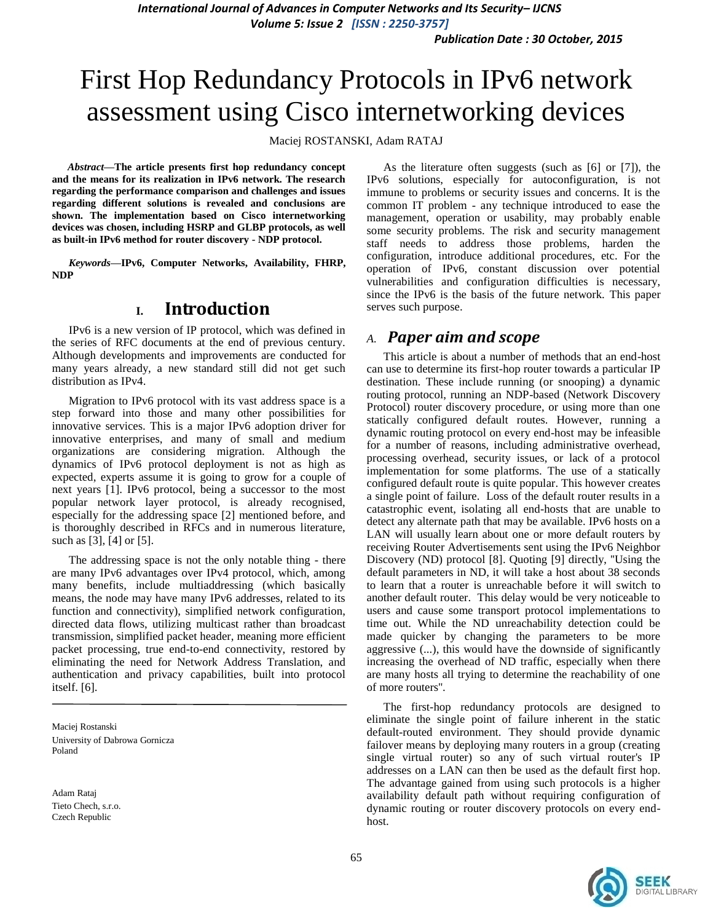*International Journal of Advances in Computer Networks and Its Security– IJCNS Volume 5: Issue 2 [ISSN : 2250-3757]* 

*Publication Date : 30 October, 2015*

# First Hop Redundancy Protocols in IPv6 network assessment using Cisco internetworking devices

Maciej ROSTANSKI, Adam RATAJ

*Abstract***—The article presents first hop redundancy concept and the means for its realization in IPv6 network. The research regarding the performance comparison and challenges and issues regarding different solutions is revealed and conclusions are shown. The implementation based on Cisco internetworking devices was chosen, including HSRP and GLBP protocols, as well as built-in IPv6 method for router discovery - NDP protocol.**

*Keywords—***IPv6, Computer Networks, Availability, FHRP, NDP**

### **I. Introduction**

IPv6 is a new version of IP protocol, which was defined in the series of RFC documents at the end of previous century. Although developments and improvements are conducted for many years already, a new standard still did not get such distribution as IPv4.

Migration to IPv6 protocol with its vast address space is a step forward into those and many other possibilities for innovative services. This is a major IPv6 adoption driver for innovative enterprises, and many of small and medium organizations are considering migration. Although the dynamics of IPv6 protocol deployment is not as high as expected, experts assume it is going to grow for a couple of next years [1]. IPv6 protocol, being a successor to the most popular network layer protocol, is already recognised, especially for the addressing space [2] mentioned before, and is thoroughly described in RFCs and in numerous literature, such as [3], [4] or [5].

The addressing space is not the only notable thing - there are many IPv6 advantages over IPv4 protocol, which, among many benefits, include multiaddressing (which basically means, the node may have many IPv6 addresses, related to its function and connectivity), simplified network configuration, directed data flows, utilizing multicast rather than broadcast transmission, simplified packet header, meaning more efficient packet processing, true end-to-end connectivity, restored by eliminating the need for Network Address Translation, and authentication and privacy capabilities, built into protocol itself. [6].

Maciej Rostanski University of Dabrowa Gornicza Poland

Adam Rataj Tieto Chech, s.r.o. Czech Republic

As the literature often suggests (such as [6] or [7]), the IPv6 solutions, especially for autoconfiguration, is not immune to problems or security issues and concerns. It is the common IT problem - any technique introduced to ease the management, operation or usability, may probably enable some security problems. The risk and security management staff needs to address those problems, harden the configuration, introduce additional procedures, etc. For the operation of IPv6, constant discussion over potential vulnerabilities and configuration difficulties is necessary, since the IPv6 is the basis of the future network. This paper serves such purpose.

#### *A. Paper aim and scope*

This article is about a number of methods that an end-host can use to determine its first-hop router towards a particular IP destination. These include running (or snooping) a dynamic routing protocol, running an NDP-based (Network Discovery Protocol) router discovery procedure, or using more than one statically configured default routes. However, running a dynamic routing protocol on every end-host may be infeasible for a number of reasons, including administrative overhead, processing overhead, security issues, or lack of a protocol implementation for some platforms. The use of a statically configured default route is quite popular. This however creates a single point of failure. Loss of the default router results in a catastrophic event, isolating all end-hosts that are unable to detect any alternate path that may be available. IPv6 hosts on a LAN will usually learn about one or more default routers by receiving Router Advertisements sent using the IPv6 Neighbor Discovery (ND) protocol [8]. Quoting [9] directly, ''Using the default parameters in ND, it will take a host about 38 seconds to learn that a router is unreachable before it will switch to another default router. This delay would be very noticeable to users and cause some transport protocol implementations to time out. While the ND unreachability detection could be made quicker by changing the parameters to be more aggressive (...), this would have the downside of significantly increasing the overhead of ND traffic, especially when there are many hosts all trying to determine the reachability of one of more routers''.

The first-hop redundancy protocols are designed to eliminate the single point of failure inherent in the static default-routed environment. They should provide dynamic failover means by deploying many routers in a group (creating single virtual router) so any of such virtual router's IP addresses on a LAN can then be used as the default first hop. The advantage gained from using such protocols is a higher availability default path without requiring configuration of dynamic routing or router discovery protocols on every endhost.

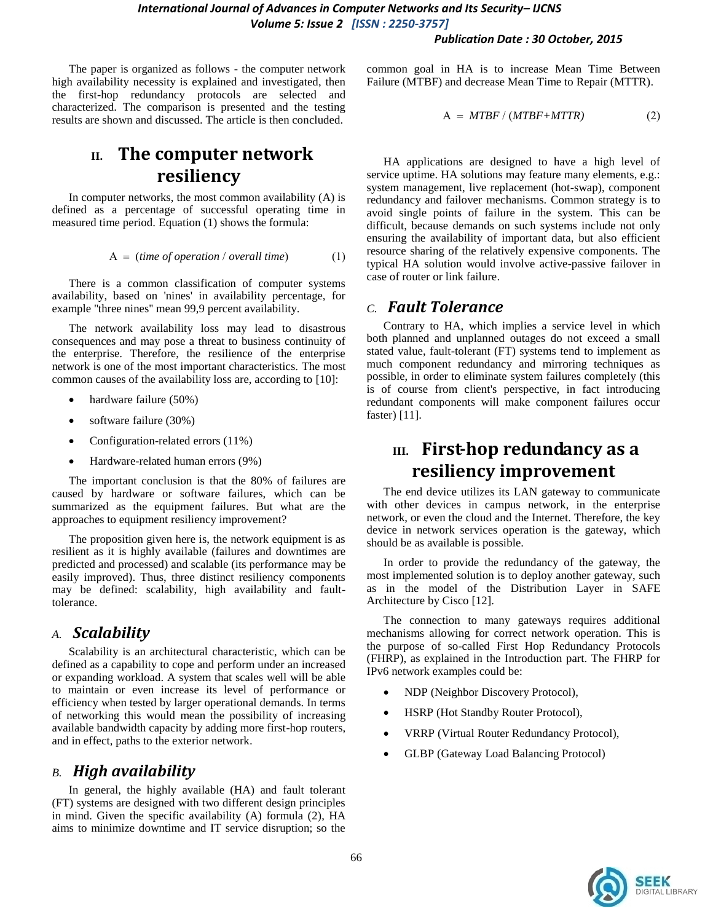#### *Publication Date : 30 October, 2015*

The paper is organized as follows - the computer network high availability necessity is explained and investigated, then the first-hop redundancy protocols are selected and characterized. The comparison is presented and the testing results are shown and discussed. The article is then concluded.

# **II. The computer network resiliency**

In computer networks, the most common availability (A) is defined as a percentage of successful operating time in measured time period. Equation (1) shows the formula:

$$
A = (time of operation / overall time)
$$
 (1)

There is a common classification of computer systems availability, based on 'nines' in availability percentage, for example ''three nines'' mean 99,9 percent availability.

The network availability loss may lead to disastrous consequences and may pose a threat to business continuity of the enterprise. Therefore, the resilience of the enterprise network is one of the most important characteristics. The most common causes of the availability loss are, according to [10]:

- hardware failure (50%)
- software failure (30%)
- Configuration-related errors (11%)
- Hardware-related human errors (9%)

The important conclusion is that the 80% of failures are caused by hardware or software failures, which can be summarized as the equipment failures. But what are the approaches to equipment resiliency improvement?

The proposition given here is, the network equipment is as resilient as it is highly available (failures and downtimes are predicted and processed) and scalable (its performance may be easily improved). Thus, three distinct resiliency components may be defined: scalability, high availability and faulttolerance.

### *A. Scalability*

Scalability is an architectural characteristic, which can be defined as a capability to cope and perform under an increased or expanding workload. A system that scales well will be able to maintain or even increase its level of performance or efficiency when tested by larger operational demands. In terms of networking this would mean the possibility of increasing available bandwidth capacity by adding more first-hop routers, and in effect, paths to the exterior network.

#### *B. High availability*

In general, the highly available (HA) and fault tolerant (FT) systems are designed with two different design principles in mind. Given the specific availability (A) formula (2), HA aims to minimize downtime and IT service disruption; so the common goal in HA is to increase Mean Time Between Failure (MTBF) and decrease Mean Time to Repair (MTTR).

$$
A = MTBF / (MTBF + MTTR)
$$
 (2)

HA applications are designed to have a high level of service uptime. HA solutions may feature many elements, e.g.: system management, live replacement (hot-swap), component redundancy and failover mechanisms. Common strategy is to avoid single points of failure in the system. This can be difficult, because demands on such systems include not only ensuring the availability of important data, but also efficient resource sharing of the relatively expensive components. The typical HA solution would involve active-passive failover in case of router or link failure.

#### *C. Fault Tolerance*

Contrary to HA, which implies a service level in which both planned and unplanned outages do not exceed a small stated value, fault-tolerant (FT) systems tend to implement as much component redundancy and mirroring techniques as possible, in order to eliminate system failures completely (this is of course from client's perspective, in fact introducing redundant components will make component failures occur faster) [11].

# **III. First-hop redundancy as a resiliency improvement**

The end device utilizes its LAN gateway to communicate with other devices in campus network, in the enterprise network, or even the cloud and the Internet. Therefore, the key device in network services operation is the gateway, which should be as available is possible.

In order to provide the redundancy of the gateway, the most implemented solution is to deploy another gateway, such as in the model of the Distribution Layer in SAFE Architecture by Cisco [12].

The connection to many gateways requires additional mechanisms allowing for correct network operation. This is the purpose of so-called First Hop Redundancy Protocols (FHRP), as explained in the Introduction part. The FHRP for IPv6 network examples could be:

- NDP (Neighbor Discovery Protocol),
- HSRP (Hot Standby Router Protocol),
- VRRP (Virtual Router Redundancy Protocol),
- GLBP (Gateway Load Balancing Protocol)

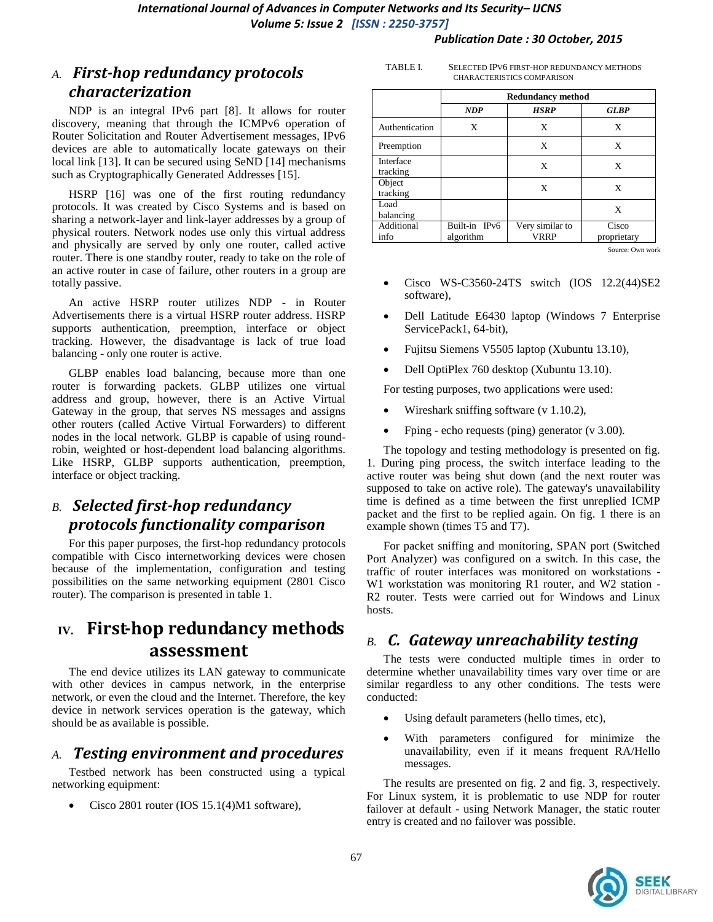#### *Publication Date : 30 October, 2015*

### *A. First-hop redundancy protocols characterization*

NDP is an integral IPv6 part [8]. It allows for router discovery, meaning that through the ICMPv6 operation of Router Solicitation and Router Advertisement messages, IPv6 devices are able to automatically locate gateways on their local link [13]. It can be secured using SeND [14] mechanisms such as Cryptographically Generated Addresses [15].

HSRP [16] was one of the first routing redundancy protocols. It was created by Cisco Systems and is based on sharing a network-layer and link-layer addresses by a group of physical routers. Network nodes use only this virtual address and physically are served by only one router, called active router. There is one standby router, ready to take on the role of an active router in case of failure, other routers in a group are totally passive.

An active HSRP router utilizes NDP - in Router Advertisements there is a virtual HSRP router address. HSRP supports authentication, preemption, interface or object tracking. However, the disadvantage is lack of true load balancing - only one router is active.

GLBP enables load balancing, because more than one router is forwarding packets. GLBP utilizes one virtual address and group, however, there is an Active Virtual Gateway in the group, that serves NS messages and assigns other routers (called Active Virtual Forwarders) to different nodes in the local network. GLBP is capable of using roundrobin, weighted or host-dependent load balancing algorithms. Like HSRP, GLBP supports authentication, preemption, interface or object tracking.

### *B. Selected first-hop redundancy protocols functionality comparison*

For this paper purposes, the first-hop redundancy protocols compatible with Cisco internetworking devices were chosen because of the implementation, configuration and testing possibilities on the same networking equipment (2801 Cisco router). The comparison is presented in table 1.

# **IV. First-hop redundancy methods assessment**

The end device utilizes its LAN gateway to communicate with other devices in campus network, in the enterprise network, or even the cloud and the Internet. Therefore, the key device in network services operation is the gateway, which should be as available is possible.

### *A. Testing environment and procedures*

Testbed network has been constructed using a typical networking equipment:

• Cisco 2801 router (IOS 15.1(4)M1 software),

| TABLE I. | SELECTED IPV6 FIRST-HOP REDUNDANCY METHODS |
|----------|--------------------------------------------|
|          | <b>CHARACTERISTICS COMPARISON</b>          |

|                       | <b>Redundancy method</b>   |                         |                      |  |
|-----------------------|----------------------------|-------------------------|----------------------|--|
|                       | <b>NDP</b>                 | <b>HSRP</b>             | <b>GLBP</b>          |  |
| Authentication        | X                          | X                       | X                    |  |
| Preemption            |                            | X                       | X                    |  |
| Interface<br>tracking |                            | X                       | X                    |  |
| Object<br>tracking    |                            | X                       | X                    |  |
| Load<br>balancing     |                            |                         | X                    |  |
| Additional<br>info    | Built-in IPv6<br>algorithm | Very similar to<br>VRRP | Cisco<br>proprietary |  |

Source: Own work

- Cisco WS-C3560-24TS switch (IOS 12.2(44)SE2 software),
- Dell Latitude E6430 laptop (Windows 7 Enterprise ServicePack1, 64-bit),
- Fujitsu Siemens V5505 laptop (Xubuntu 13.10),
- Dell OptiPlex 760 desktop (Xubuntu 13.10).

For testing purposes, two applications were used:

- Wireshark sniffing software (v 1.10.2),
- Fping echo requests (ping) generator (v 3.00).

The topology and testing methodology is presented on fig. 1. During ping process, the switch interface leading to the active router was being shut down (and the next router was supposed to take on active role). The gateway's unavailability time is defined as a time between the first unreplied ICMP packet and the first to be replied again. On fig. 1 there is an example shown (times T5 and T7).

For packet sniffing and monitoring, SPAN port (Switched Port Analyzer) was configured on a switch. In this case, the traffic of router interfaces was monitored on workstations - W1 workstation was monitoring R1 router, and W2 station -R2 router. Tests were carried out for Windows and Linux hosts.

### *B. C. Gateway unreachability testing*

The tests were conducted multiple times in order to determine whether unavailability times vary over time or are similar regardless to any other conditions. The tests were conducted:

- Using default parameters (hello times, etc),
- With parameters configured for minimize the unavailability, even if it means frequent RA/Hello messages.

The results are presented on fig. 2 and fig. 3, respectively. For Linux system, it is problematic to use NDP for router failover at default - using Network Manager, the static router entry is created and no failover was possible.

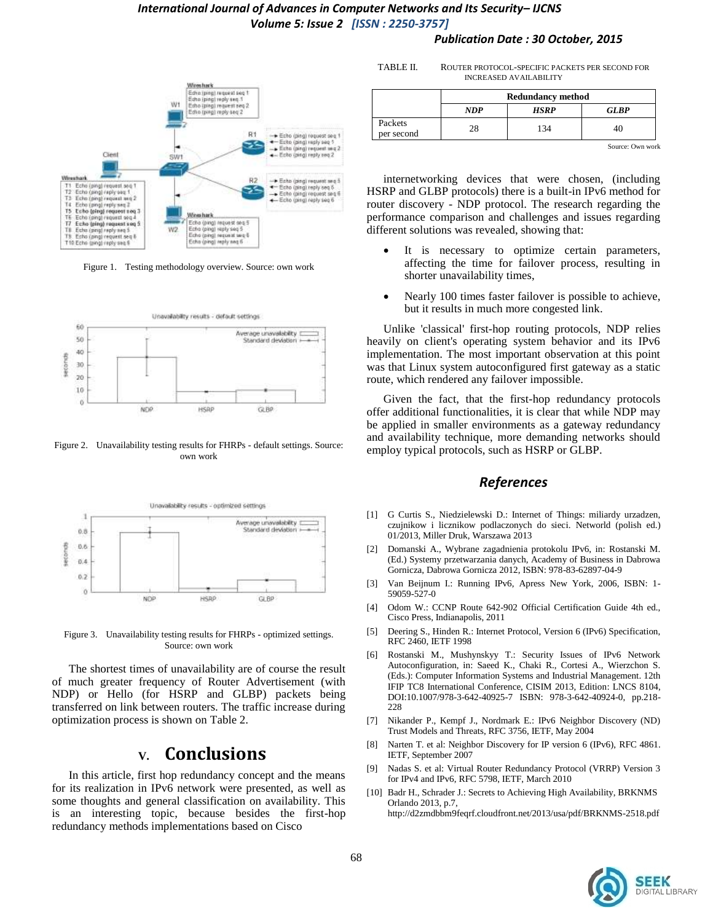#### *International Journal of Advances in Computer Networks and Its Security– IJCNS Volume 5: Issue 2 [ISSN : 2250-3757]*





Figure 1. Testing methodology overview. Source: own work



Figure 2. Unavailability testing results for FHRPs - default settings. Source: own work



Figure 3. Unavailability testing results for FHRPs - optimized settings. Source: own work

The shortest times of unavailability are of course the result of much greater frequency of Router Advertisement (with NDP) or Hello (for HSRP and GLBP) packets being transferred on link between routers. The traffic increase during optimization process is shown on Table 2.

### **V. Conclusions**

In this article, first hop redundancy concept and the means for its realization in IPv6 network were presented, as well as some thoughts and general classification on availability. This is an interesting topic, because besides the first-hop redundancy methods implementations based on Cisco

TABLE II. ROUTER PROTOCOL-SPECIFIC PACKETS PER SECOND FOR INCREASED AVAILABILITY

|                       | <b>Redundancy method</b> |      |                  |
|-----------------------|--------------------------|------|------------------|
|                       | <b>NDP</b>               | HSRP | <b>GLBP</b>      |
| Packets<br>per second | 28                       | 134  | 40               |
|                       |                          |      | Source: Own work |

internetworking devices that were chosen, (including HSRP and GLBP protocols) there is a built-in IPv6 method for router discovery - NDP protocol. The research regarding the performance comparison and challenges and issues regarding different solutions was revealed, showing that:

- It is necessary to optimize certain parameters, affecting the time for failover process, resulting in shorter unavailability times,
- Nearly 100 times faster failover is possible to achieve, but it results in much more congested link.

Unlike 'classical' first-hop routing protocols, NDP relies heavily on client's operating system behavior and its IPv6 implementation. The most important observation at this point was that Linux system autoconfigured first gateway as a static route, which rendered any failover impossible.

Given the fact, that the first-hop redundancy protocols offer additional functionalities, it is clear that while NDP may be applied in smaller environments as a gateway redundancy and availability technique, more demanding networks should employ typical protocols, such as HSRP or GLBP.

#### *References*

- [1] G Curtis S., Niedzielewski D.: Internet of Things: miliardy urzadzen, czujnikow i licznikow podlaczonych do sieci. Networld (polish ed.) 01/2013, Miller Druk, Warszawa 2013
- [2] Domanski A., Wybrane zagadnienia protokolu IPv6, in: Rostanski M. (Ed.) Systemy przetwarzania danych, Academy of Business in Dabrowa Gornicza, Dabrowa Gornicza 2012, ISBN: 978-83-62897-04-9
- [3] Van Beijnum I.: Running IPv6, Apress New York, 2006, ISBN: 1- 59059-527-0
- [4] Odom W.: CCNP Route 642-902 Official Certification Guide 4th ed., Cisco Press, Indianapolis, 2011
- [5] Deering S., Hinden R.: Internet Protocol, Version 6 (IPv6) Specification, RFC 2460, IETF 1998
- [6] Rostanski M., Mushynskyy T.: Security Issues of IPv6 Network Autoconfiguration, in: Saeed K., Chaki R., Cortesi A., Wierzchon S. (Eds.): Computer Information Systems and Industrial Management. 12th IFIP TC8 International Conference, CISIM 2013, Edition: LNCS 8104, DOI:10.1007/978-3-642-40925-7 ISBN: 978-3-642-40924-0, pp.218- 228
- [7] Nikander P., Kempf J., Nordmark E.: IPv6 Neighbor Discovery (ND) Trust Models and Threats, RFC 3756, IETF, May 2004
- [8] Narten T. et al: Neighbor Discovery for IP version 6 (IPv6), RFC 4861. IETF, September 2007
- [9] Nadas S. et al: Virtual Router Redundancy Protocol (VRRP) Version 3 for IPv4 and IPv6, RFC 5798, IETF, March 2010
- [10] Badr H., Schrader J.: Secrets to Achieving High Availability, BRKNMS Orlando 2013, p.7, http://d2zmdbbm9feqrf.cloudfront.net/2013/usa/pdf/BRKNMS-2518.pdf